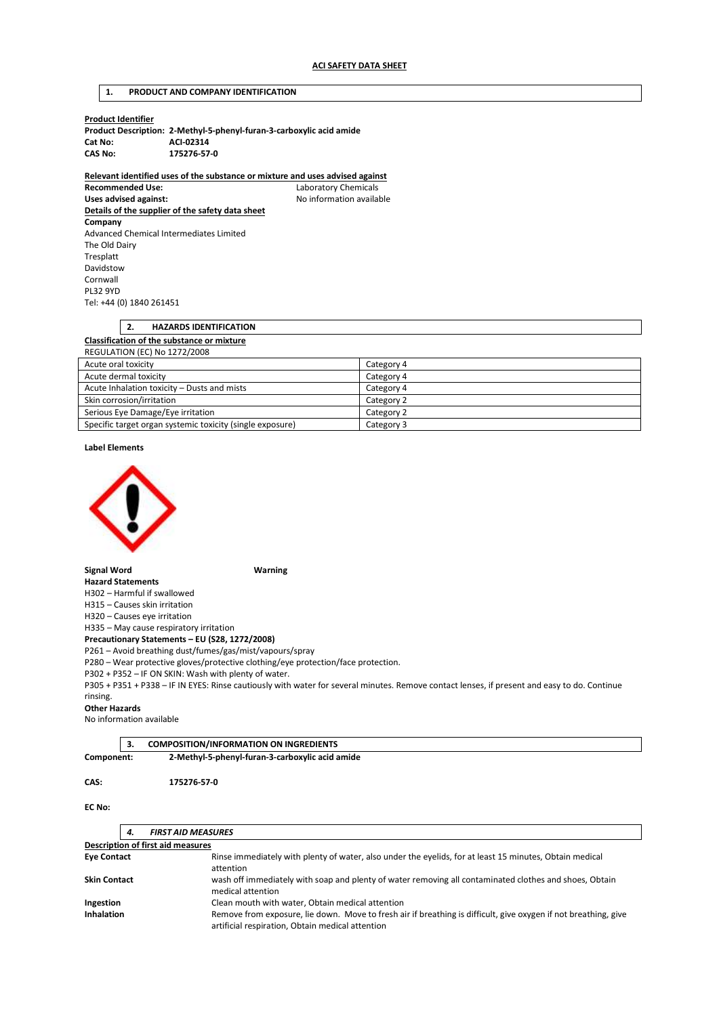## **1. PRODUCT AND COMPANY IDENTIFICATION**

| Product Identifier |  |
|--------------------|--|
|--------------------|--|

|         | Product Description: 2-Methyl-5-phenyl-furan-3-carboxylic acid amide |
|---------|----------------------------------------------------------------------|
| Cat No: | ACI-02314                                                            |
| CAS No: | 175276-57-0                                                          |

**Relevant identified uses of the substance or mixture and uses advised against** 

**Laboratory Chemicals** Uses advised against: **No information available Details of the supplier of the safety data sheet Company**  Advanced Chemical Intermediates Limited The Old Dairy Tresplatt Davidstow Cornwall PL32 9YD Tel: +44 (0) 1840 261451

| <u>.</u>                                          | <b>HAZARDS IDENTIFICATION</b> |  |
|---------------------------------------------------|-------------------------------|--|
| <b>Classification of the substance or mixture</b> |                               |  |
|                                                   | REGULATION (EC) No 1272/2008  |  |
| Acute oral toxicity<br>Category 4                 |                               |  |

| Acute dermal toxicity                                     | Category 4 |
|-----------------------------------------------------------|------------|
| Acute Inhalation toxicity – Dusts and mists               | Category 4 |
| Skin corrosion/irritation                                 | Category 2 |
| Serious Eye Damage/Eye irritation                         | Category 2 |
| Specific target organ systemic toxicity (single exposure) | Category 3 |

**Label Elements** 



**Signal Word Warning** 

**Hazard Statements**  H302 – Harmful if swallowed

H315 – Causes skin irritation

H320 – Causes eye irritation

H335 – May cause respiratory irritation

**Precautionary Statements – EU (S28, 1272/2008)** 

P261 – Avoid breathing dust/fumes/gas/mist/vapours/spray

P280 – Wear protective gloves/protective clothing/eye protection/face protection.

P302 + P352 – IF ON SKIN: Wash with plenty of water.

P305 + P351 + P338 – IF IN EYES: Rinse cautiously with water for several minutes. Remove contact lenses, if present and easy to do. Continue rinsing.

#### **Other Hazards**

No information available

|            | <b>COMPOSITION/INFORMATION ON INGREDIENTS</b>   |  |
|------------|-------------------------------------------------|--|
| Component: | 2-Methyl-5-phenyl-furan-3-carboxylic acid amide |  |

#### **CAS: 175276-57-0**

### **EC No:**

| 4.                  | <b>FIRST AID MEASURES</b>                                                                                                                                           |  |
|---------------------|---------------------------------------------------------------------------------------------------------------------------------------------------------------------|--|
|                     | <b>Description of first aid measures</b>                                                                                                                            |  |
| <b>Eye Contact</b>  | Rinse immediately with plenty of water, also under the eyelids, for at least 15 minutes, Obtain medical<br>attention                                                |  |
| <b>Skin Contact</b> | wash off immediately with soap and plenty of water removing all contaminated clothes and shoes, Obtain<br>medical attention                                         |  |
| Ingestion           | Clean mouth with water, Obtain medical attention                                                                                                                    |  |
| <b>Inhalation</b>   | Remove from exposure, lie down. Move to fresh air if breathing is difficult, give oxygen if not breathing, give<br>artificial respiration, Obtain medical attention |  |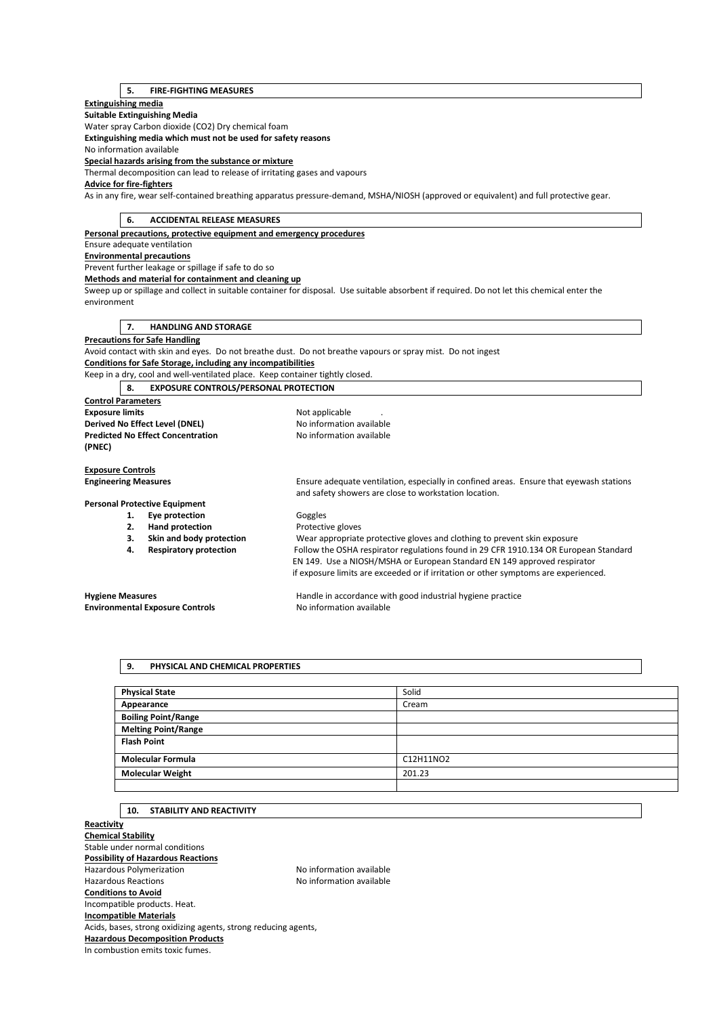# **5. FIRE-FIGHTING MEASURES**

## **Extinguishing media**

**Suitable Extinguishing Media** 

Water spray Carbon dioxide (CO2) Dry chemical foam

**Extinguishing media which must not be used for safety reasons** 

No information available

**Special hazards arising from the substance or mixture** 

Thermal decomposition can lead to release of irritating gases and vapours

# **Advice for fire-fighters**

As in any fire, wear self-contained breathing apparatus pressure-demand, MSHA/NIOSH (approved or equivalent) and full protective gear.

| 6.<br><b>ACCIDENTAL RELEASE MEASURES</b>                                      |                                                                                                                                                  |  |
|-------------------------------------------------------------------------------|--------------------------------------------------------------------------------------------------------------------------------------------------|--|
| Personal precautions, protective equipment and emergency procedures           |                                                                                                                                                  |  |
| Ensure adequate ventilation                                                   |                                                                                                                                                  |  |
| <b>Environmental precautions</b>                                              |                                                                                                                                                  |  |
| Prevent further leakage or spillage if safe to do so                          |                                                                                                                                                  |  |
| Methods and material for containment and cleaning up                          |                                                                                                                                                  |  |
|                                                                               | Sweep up or spillage and collect in suitable container for disposal. Use suitable absorbent if required. Do not let this chemical enter the      |  |
| environment                                                                   |                                                                                                                                                  |  |
|                                                                               |                                                                                                                                                  |  |
| <b>HANDLING AND STORAGE</b><br>7.                                             |                                                                                                                                                  |  |
| <b>Precautions for Safe Handling</b>                                          |                                                                                                                                                  |  |
|                                                                               | Avoid contact with skin and eyes. Do not breathe dust. Do not breathe vapours or spray mist. Do not ingest                                       |  |
| Conditions for Safe Storage, including any incompatibilities                  |                                                                                                                                                  |  |
| Keep in a dry, cool and well-ventilated place. Keep container tightly closed. |                                                                                                                                                  |  |
| <b>EXPOSURE CONTROLS/PERSONAL PROTECTION</b><br>8.                            |                                                                                                                                                  |  |
| <b>Control Parameters</b>                                                     |                                                                                                                                                  |  |
| <b>Exposure limits</b>                                                        | Not applicable                                                                                                                                   |  |
| Derived No Effect Level (DNEL)<br>No information available                    |                                                                                                                                                  |  |
| <b>Predicted No Effect Concentration</b>                                      | No information available                                                                                                                         |  |
| (PNEC)                                                                        |                                                                                                                                                  |  |
|                                                                               |                                                                                                                                                  |  |
| <b>Exposure Controls</b>                                                      |                                                                                                                                                  |  |
| <b>Engineering Measures</b>                                                   | Ensure adequate ventilation, especially in confined areas. Ensure that eyewash stations<br>and safety showers are close to workstation location. |  |
| <b>Personal Protective Equipment</b>                                          |                                                                                                                                                  |  |
| Eye protection<br>1.                                                          | Goggles                                                                                                                                          |  |
| <b>Hand protection</b><br>2.                                                  | Protective gloves                                                                                                                                |  |
| Skin and body protection<br>3.                                                | Wear appropriate protective gloves and clothing to prevent skin exposure                                                                         |  |
| <b>Respiratory protection</b><br>4.                                           | Follow the OSHA respirator regulations found in 29 CFR 1910.134 OR European Standard                                                             |  |
|                                                                               | EN 149. Use a NIOSH/MSHA or European Standard EN 149 approved respirator                                                                         |  |
|                                                                               | if exposure limits are exceeded or if irritation or other symptoms are experienced.                                                              |  |
| <b>Hygiene Measures</b>                                                       | Handle in accordance with good industrial hygiene practice                                                                                       |  |
| <b>Environmental Exposure Controls</b>                                        | No information available                                                                                                                         |  |
|                                                                               |                                                                                                                                                  |  |

### **9. PHYSICAL AND CHEMICAL PROPERTIES**

| <b>Physical State</b>      | Solid     |
|----------------------------|-----------|
| Appearance                 | Cream     |
| <b>Boiling Point/Range</b> |           |
| <b>Melting Point/Range</b> |           |
| <b>Flash Point</b>         |           |
| <b>Molecular Formula</b>   | C12H11NO2 |
| <b>Molecular Weight</b>    | 201.23    |
|                            |           |

# **10. STABILITY AND REACTIVITY**

**Reactivity Chemical Stability**  Stable under normal conditions **Possibility of Hazardous Reactions**  Hazardous Polymerization and the Society of the No information available<br>Hazardous Reactions available No information available No information available **Conditions to Avoid**  Incompatible products. Heat. **Incompatible Materials**  Acids, bases, strong oxidizing agents, strong reducing agents, **Hazardous Decomposition Products**  In combustion emits toxic fumes.